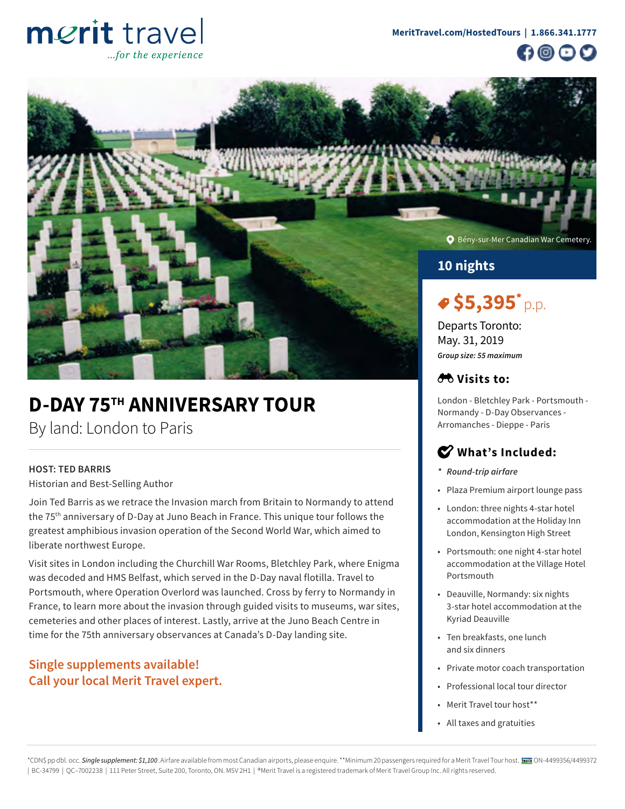# merit travel ..for the experience





# **D-DAY 75TH ANNIVERSARY TOUR**

By land: London to Paris

# **HOST: TED BARRIS**

Historian and Best-Selling Author

Join Ted Barris as we retrace the Invasion march from Britain to Normandy to attend the 75th anniversary of D-Day at Juno Beach in France. This unique tour follows the greatest amphibious invasion operation of the Second World War, which aimed to liberate northwest Europe.

Visit sites in London including the Churchill War Rooms, Bletchley Park, where Enigma was decoded and HMS Belfast, which served in the D-Day naval flotilla. Travel to Portsmouth, where Operation Overlord was launched. Cross by ferry to Normandy in France, to learn more about the invasion through guided visits to museums, war sites, cemeteries and other places of interest. Lastly, arrive at the Juno Beach Centre in time for the 75th anniversary observances at Canada's D-Day landing site.

# **Single supplements available! Call your local Merit Travel expert.**

# *A***<sup>b</sup>** Visits to:

London - Bletchley Park - Portsmouth - Normandy - D-Day Observances - Arromanches - Dieppe - Paris

# **What's Included:**

- *\* Round-trip airfare*
- Plaza Premium airport lounge pass
- London: three nights 4-star hotel accommodation at the Holiday Inn London, Kensington High Street
- Portsmouth: one night 4-star hotel accommodation at the Village Hotel Portsmouth
- Deauville, Normandy: six nights 3-star hotel accommodation at the Kyriad Deauville
- Ten breakfasts, one lunch and six dinners
- Private motor coach transportation
- Professional local tour director
- Merit Travel tour host\*\*
- All taxes and gratuities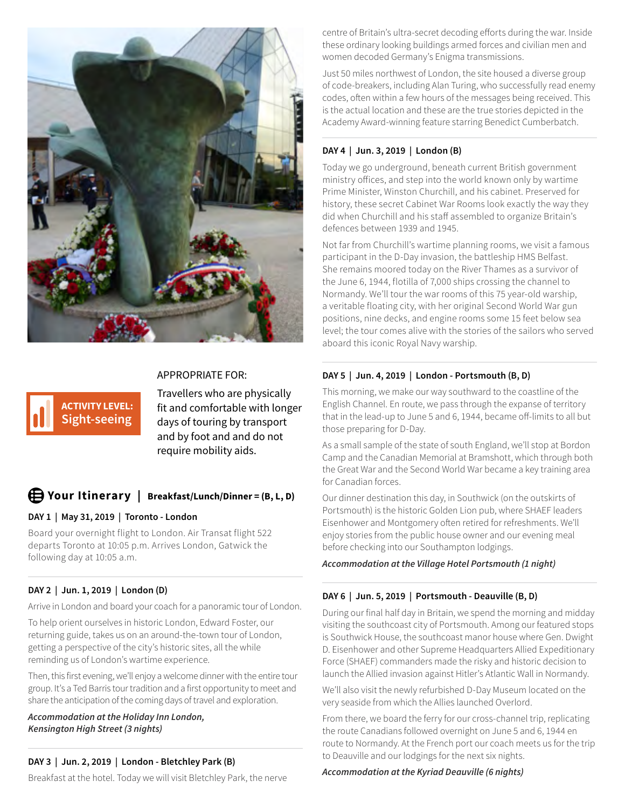

# APPROPRIATE FOR:

**ACTIVITY LEVEL: Sight-seeing** Travellers who are physically fit and comfortable with longer days of touring by transport and by foot and and do not require mobility aids.

# **Your Itinerary | Breakfast/Lunch/Dinner = (B, L, D)**

# **DAY 1 | May 31, 2019 | Toronto - London**

Board your overnight flight to London. Air Transat flight 522 departs Toronto at 10:05 p.m. Arrives London, Gatwick the following day at 10:05 a.m.

# **DAY 2 | Jun. 1, 2019 | London (D)**

Arrive in London and board your coach for a panoramic tour of London.

To help orient ourselves in historic London, Edward Foster, our returning guide, takes us on an around-the-town tour of London, getting a perspective of the city's historic sites, all the while reminding us of London's wartime experience.

Then, this first evening, we'll enjoy a welcome dinner with the entire tour group. It's a Ted Barris tour tradition and a first opportunity to meet and share the anticipation of the coming days of travel and exploration.

*Accommodation at the Holiday Inn London, Kensington High Street (3 nights)*

# **DAY 3 | Jun. 2, 2019 | London - Bletchley Park (B)**

Breakfast at the hotel. Today we will visit Bletchley Park, the nerve

centre of Britain's ultra-secret decoding efforts during the war. Inside these ordinary looking buildings armed forces and civilian men and women decoded Germany's Enigma transmissions.

Just 50 miles northwest of London, the site housed a diverse group of code-breakers, including Alan Turing, who successfully read enemy codes, often within a few hours of the messages being received. This is the actual location and these are the true stories depicted in the Academy Award-winning feature starring Benedict Cumberbatch.

# **DAY 4 | Jun. 3, 2019 | London (B)**

Today we go underground, beneath current British government ministry offices, and step into the world known only by wartime Prime Minister, Winston Churchill, and his cabinet. Preserved for history, these secret Cabinet War Rooms look exactly the way they did when Churchill and his staff assembled to organize Britain's defences between 1939 and 1945.

Not far from Churchill's wartime planning rooms, we visit a famous participant in the D-Day invasion, the battleship HMS Belfast. She remains moored today on the River Thames as a survivor of the June 6, 1944, flotilla of 7,000 ships crossing the channel to Normandy. We'll tour the war rooms of this 75 year-old warship, a veritable floating city, with her original Second World War gun positions, nine decks, and engine rooms some 15 feet below sea level; the tour comes alive with the stories of the sailors who served aboard this iconic Royal Navy warship.

# **DAY 5 | Jun. 4, 2019 | London - Portsmouth (B, D)**

This morning, we make our way southward to the coastline of the English Channel. En route, we pass through the expanse of territory that in the lead-up to June 5 and 6, 1944, became off-limits to all but those preparing for D-Day.

As a small sample of the state of south England, we'll stop at Bordon Camp and the Canadian Memorial at Bramshott, which through both the Great War and the Second World War became a key training area for Canadian forces.

Our dinner destination this day, in Southwick (on the outskirts of Portsmouth) is the historic Golden Lion pub, where SHAEF leaders Eisenhower and Montgomery often retired for refreshments. We'll enjoy stories from the public house owner and our evening meal before checking into our Southampton lodgings.

*Accommodation at the Village Hotel Portsmouth (1 night)*

# **DAY 6 | Jun. 5, 2019 | Portsmouth - Deauville (B, D)**

During our final half day in Britain, we spend the morning and midday visiting the southcoast city of Portsmouth. Among our featured stops is Southwick House, the southcoast manor house where Gen. Dwight D. Eisenhower and other Supreme Headquarters Allied Expeditionary Force (SHAEF) commanders made the risky and historic decision to launch the Allied invasion against Hitler's Atlantic Wall in Normandy.

We'll also visit the newly refurbished D-Day Museum located on the very seaside from which the Allies launched Overlord.

From there, we board the ferry for our cross-channel trip, replicating the route Canadians followed overnight on June 5 and 6, 1944 en route to Normandy. At the French port our coach meets us for the trip to Deauville and our lodgings for the next six nights.

*Accommodation at the Kyriad Deauville (6 nights)*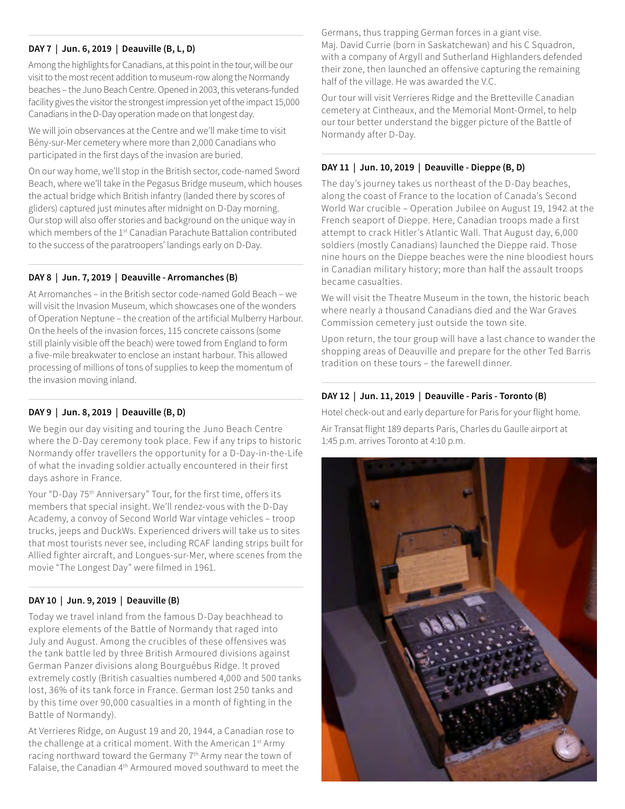# **DAY 7 | Jun. 6, 2019 | Deauville (B, L, D)**

Among the highlights for Canadians, at this point in the tour, will be our visit to the most recent addition to museum-row along the Normandy beaches – the Juno Beach Centre. Opened in 2003, this veterans-funded facility gives the visitor the strongest impression yet of the impact 15,000 Canadians in the D-Day operation made on that longest day.

We will join observances at the Centre and we'll make time to visit Bény-sur-Mer cemetery where more than 2,000 Canadians who participated in the first days of the invasion are buried.

On our way home, we'll stop in the British sector, code-named Sword Beach, where we'll take in the Pegasus Bridge museum, which houses the actual bridge which British infantry (landed there by scores of gliders) captured just minutes after midnight on D-Day morning. Our stop will also offer stories and background on the unique way in which members of the 1<sup>st</sup> Canadian Parachute Battalion contributed to the success of the paratroopers' landings early on D-Day.

## **DAY 8 | Jun. 7, 2019 | Deauville - Arromanches (B)**

At Arromanches – in the British sector code-named Gold Beach – we will visit the Invasion Museum, which showcases one of the wonders of Operation Neptune – the creation of the artificial Mulberry Harbour. On the heels of the invasion forces, 115 concrete caissons (some still plainly visible off the beach) were towed from England to form a five-mile breakwater to enclose an instant harbour. This allowed processing of millions of tons of supplies to keep the momentum of the invasion moving inland.

## **DAY 9 | Jun. 8, 2019 | Deauville (B, D)**

We begin our day visiting and touring the Juno Beach Centre where the D-Day ceremony took place. Few if any trips to historic Normandy offer travellers the opportunity for a D-Day-in-the-Life of what the invading soldier actually encountered in their first days ashore in France.

Your "D-Day 75<sup>th</sup> Anniversary" Tour, for the first time, offers its members that special insight. We'll rendez-vous with the D-Day Academy, a convoy of Second World War vintage vehicles – troop trucks, jeeps and DuckWs. Experienced drivers will take us to sites that most tourists never see, including RCAF landing strips built for Allied fighter aircraft, and Longues-sur-Mer, where scenes from the movie "The Longest Day" were filmed in 1961.

## **DAY 10 | Jun. 9, 2019 | Deauville (B)**

Today we travel inland from the famous D-Day beachhead to explore elements of the Battle of Normandy that raged into July and August. Among the crucibles of these offensives was the tank battle led by three British Armoured divisions against German Panzer divisions along Bourguébus Ridge. !t proved extremely costly (British casualties numbered 4,000 and 500 tanks lost, 36% of its tank force in France. German lost 250 tanks and by this time over 90,000 casualties in a month of fighting in the Battle of Normandy).

At Verrieres Ridge, on August 19 and 20, 1944, a Canadian rose to the challenge at a critical moment. With the American 1st Army racing northward toward the Germany 7<sup>th</sup> Army near the town of Falaise, the Canadian 4th Armoured moved southward to meet the Germans, thus trapping German forces in a giant vise. Maj. David Currie (born in Saskatchewan) and his C Squadron, with a company of Argyll and Sutherland Highlanders defended their zone, then launched an offensive capturing the remaining half of the village. He was awarded the V.C.

Our tour will visit Verrieres Ridge and the Bretteville Canadian cemetery at Cintheaux, and the Memorial Mont-Ormel, to help our tour better understand the bigger picture of the Battle of Normandy after D-Day.

## **DAY 11 | Jun. 10, 2019 | Deauville - Dieppe (B, D)**

The day's journey takes us northeast of the D-Day beaches, along the coast of France to the location of Canada's Second World War crucible – Operation Jubilee on August 19, 1942 at the French seaport of Dieppe. Here, Canadian troops made a first attempt to crack Hitler's Atlantic Wall. That August day, 6,000 soldiers (mostly Canadians) launched the Dieppe raid. Those nine hours on the Dieppe beaches were the nine bloodiest hours in Canadian military history; more than half the assault troops became casualties.

We will visit the Theatre Museum in the town, the historic beach where nearly a thousand Canadians died and the War Graves Commission cemetery just outside the town site.

Upon return, the tour group will have a last chance to wander the shopping areas of Deauville and prepare for the other Ted Barris tradition on these tours – the farewell dinner.

### **DAY 12 | Jun. 11, 2019 | Deauville - Paris - Toronto (B)**

Hotel check-out and early departure for Paris for your flight home.

Air Transat flight 189 departs Paris, Charles du Gaulle airport at 1:45 p.m. arrives Toronto at 4:10 p.m.